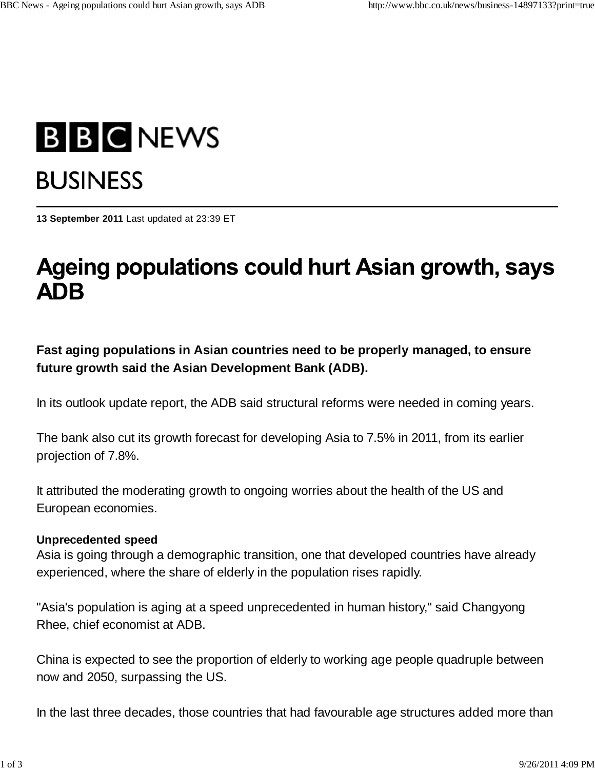# **B B C NEWS BUSINESS**

**13 September 2011** Last updated at 23:39 ET

## Ageing populations could hurt Asian growth, says **ADB**

**Fast aging populations in Asian countries need to be properly managed, to ensure future growth said the Asian Development Bank (ADB).**

In its outlook update report, the ADB said structural reforms were needed in coming years.

The bank also cut its growth forecast for developing Asia to 7.5% in 2011, from its earlier projection of 7.8%.

It attributed the moderating growth to ongoing worries about the health of the US and European economies.

#### **Unprecedented speed**

Asia is going through a demographic transition, one that developed countries have already experienced, where the share of elderly in the population rises rapidly.

"Asia's population is aging at a speed unprecedented in human history," said Changyong Rhee, chief economist at ADB.

China is expected to see the proportion of elderly to working age people quadruple between now and 2050, surpassing the US.

In the last three decades, those countries that had favourable age structures added more than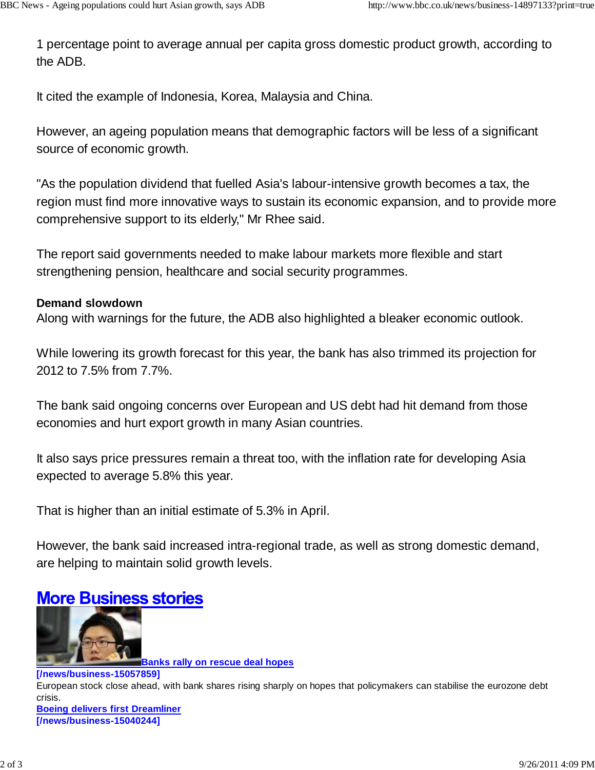1 percentage point to average annual per capita gross domestic product growth, according to the ADB.

It cited the example of Indonesia, Korea, Malaysia and China.

However, an ageing population means that demographic factors will be less of a significant source of economic growth.

"As the population dividend that fuelled Asia's labour-intensive growth becomes a tax, the region must find more innovative ways to sustain its economic expansion, and to provide more comprehensive support to its elderly," Mr Rhee said.

The report said governments needed to make labour markets more flexible and start strengthening pension, healthcare and social security programmes.

#### **Demand slowdown**

Along with warnings for the future, the ADB also highlighted a bleaker economic outlook.

While lowering its growth forecast for this year, the bank has also trimmed its projection for 2012 to 7.5% from 7.7%.

The bank said ongoing concerns over European and US debt had hit demand from those economies and hurt export growth in many Asian countries.

It also says price pressures remain a threat too, with the inflation rate for developing Asia expected to average 5.8% this year.

That is higher than an initial estimate of 5.3% in April.

However, the bank said increased intra-regional trade, as well as strong domestic demand, are helping to maintain solid growth levels.

### **More Business stories**



**Banks rally on rescue deal hopes**

#### **[/news/business-15057859]** European stock close ahead, with bank shares rising sharply on hopes that policymakers can stabilise the eurozone debt crisis. **Boeing delivers first Dreamliner [/news/business-15040244]**